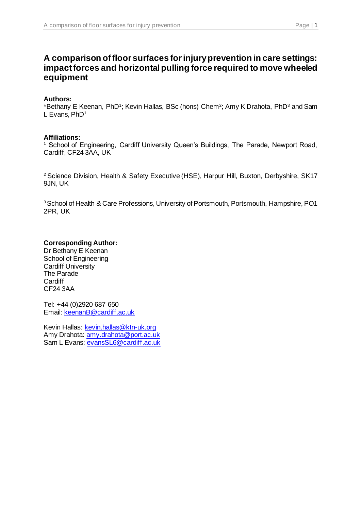# **A comparison of floor surfaces for injury prevention in care settings: impact forces and horizontal pulling force required to move wheeled equipment**

#### **Authors:**

\*Bethany E Keenan, PhD<sup>1</sup>; Kevin Hallas, BSc (hons) Chem<sup>2</sup>; Amy K Drahota, PhD<sup>3</sup> and Sam L Evans, PhD<sup>1</sup>

#### **Affiliations:**

<sup>1</sup> School of Engineering, Cardiff University Queen's Buildings, The Parade, Newport Road, Cardiff, CF24 3AA, UK

<sup>2</sup> Science Division, Health & Safety Executive (HSE), Harpur Hill, Buxton, Derbyshire, SK17 9JN, UK

<sup>3</sup> School of Health & Care Professions, University of Portsmouth, Portsmouth, Hampshire, PO1 2PR, UK

## **Corresponding Author:**

Dr Bethany E Keenan School of Engineering Cardiff University The Parade **Cardiff** CF24 3AA

Tel: +44 (0)2920 687 650 Email: [keenanB@cardiff.ac.uk](mailto:keenanb@cardiff.ac.uk)

Kevin Hallas: [kevin.hallas@ktn-uk.org](mailto:kevin.hallas@ktn-uk.org) Amy Drahota: [amy.drahota@port.ac.uk](mailto:amy.drahota@port.ac.uk) Sam L Evans: [evansSL6@cardiff.ac.uk](mailto:evansSL6@cardiff.ac.uk)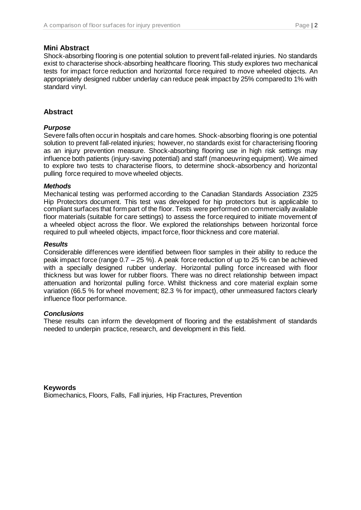#### **Mini Abstract**

Shock-absorbing flooring is one potential solution to prevent fall-related injuries. No standards exist to characterise shock-absorbing healthcare flooring. This study explores two mechanical tests for impact force reduction and horizontal force required to move wheeled objects. An appropriately designed rubber underlay can reduce peak impact by 25% compared to 1% with standard vinyl.

# **Abstract**

#### *Purpose*

Severe falls often occur in hospitals and care homes. Shock-absorbing flooring is one potential solution to prevent fall-related injuries; however, no standards exist for characterising flooring as an injury prevention measure. Shock-absorbing flooring use in high risk settings may influence both patients (injury-saving potential) and staff (manoeuvring equipment). We aimed to explore two tests to characterise floors, to determine shock-absorbency and horizontal pulling force required to move wheeled objects.

#### *Methods*

Mechanical testing was performed according to the Canadian Standards Association Z325 Hip Protectors document. This test was developed for hip protectors but is applicable to compliant surfaces that form part of the floor. Tests were performed on commercially available floor materials (suitable for care settings) to assess the force required to initiate movement of a wheeled object across the floor. We explored the relationships between horizontal force required to pull wheeled objects, impact force, floor thickness and core material.

#### *Results*

Considerable differences were identified between floor samples in their ability to reduce the peak impact force (range 0.7 – 25 %). A peak force reduction of up to 25 % can be achieved with a specially designed rubber underlay. Horizontal pulling force increased with floor thickness but was lower for rubber floors. There was no direct relationship between impact attenuation and horizontal pulling force. Whilst thickness and core material explain some variation (66.5 % for wheel movement; 82.3 % for impact), other unmeasured factors clearly influence floor performance.

## *Conclusions*

These results can inform the development of flooring and the establishment of standards needed to underpin practice, research, and development in this field.

**Keywords** Biomechanics, Floors, Falls, Fall injuries, Hip Fractures, Prevention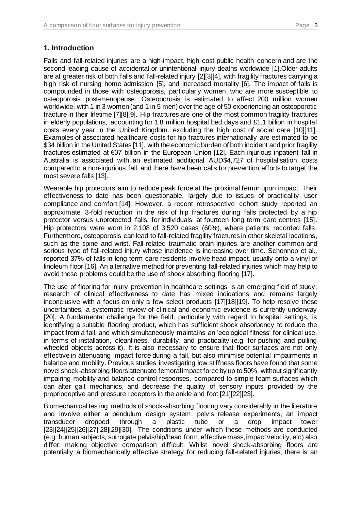# **1. Introduction**

Falls and fall-related injuries are a high-impact, high cost public health concern and are the second leading cause of accidental or unintentional injury deaths worldwide [1].Older adults are at greater risk of both falls and fall-related injury [2][3][4], with fragility fractures carrying a high risk of nursing home admission [5], and increased mortality [6]. The impact of falls is compounded in those with osteoporosis, particularly women, who are more susceptible to osteoporosis post-menopause. Osteoporosis is estimated to affect 200 million women worldwide, with 1 in 3 women (and 1 in 5 men) over the age of 50 experiencing an osteoporotic fracture in their lifetime [7][8][9]. Hip fractures are one of the most common fragility fractures in elderly populations, accounting for 1.8 million hospital bed days and  $£1.1$  billion in hospital costs every year in the United Kingdom, excluding the high cost of social care [10][11]. Examples of associated healthcare costs for hip fractures internationally are estimated to be \$34 billion in the United States [11], with the economic burden of both incident and prior fragility fractures estimated at €37 billion in the European Union [12]. Each injurious inpatient fall in Australia is associated with an estimated additional AUD\$4,727 of hospitalisation costs compared to a non-injurious fall, and there have been calls for prevention efforts to target the most severe falls [13].

Wearable hip protectors aim to reduce peak force at the proximal femur upon impact. Their effectiveness to date has been questionable, largely due to issues of practicality, user compliance and comfort [14]. However, a recent retrospective cohort study reported an approximate 3-fold reduction in the risk of hip fractures during falls protected by a hip protector versus unprotected falls, for individuals at fourteen long term care centres [15]. Hip protectors were worn in 2,108 of 3,520 cases (60%), where patients recorded falls. Furthermore, osteoporosis can lead to fall-related fragility fractures in other skeletal locations, such as the spine and wrist. Fall-related traumatic brain injuries are another common and serious type of fall-related injury whose incidence is increasing over time. Schonnop et al., reported 37% of falls in long-term care residents involve head impact, usually onto a vinyl or linoleum floor [16]. An alternative method for preventing fall-related injuries which may help to avoid these problems could be the use of shock absorbing flooring [17].

The use of flooring for injury prevention in healthcare settings is an emerging field of study; research of clinical effectiveness to date has mixed indications and remains largely inconclusive with a focus on only a few select products [17][18][19]. To help resolve these uncertainties, a systematic review of clinical and economic evidence is currently underway [20]. A fundamental challenge for the field, particularly with regard to hospital settings, is identifying a suitable flooring product, which has sufficient shock absorbency to reduce the impact from a fall, and which simultaneously maintains an 'ecological fitness' for clinical use, in terms of installation, cleanliness, durability, and practicality (e.g. for pushing and pulling wheeled objects across it). It is also necessary to ensure that floor surfaces are not only effective in attenuating impact force during a fall, but also minimise potential impairments in balance and mobility. Previous studies investigating low stiffness floors have found that some novel shock-absorbing floors attenuate femoral impact force by up to 50%, without significantly impairing mobility and balance control responses, compared to simple foam surfaces which can alter gait mechanics, and decrease the quality of sensory inputs provided by the proprioceptive and pressure receptors in the ankle and foot [21][22][23].

Biomechanical testing methods of shock-absorbing flooring vary considerably in the literature and involve either a pendulum design system, pelvis release experiments, an impact transducer dropped through a plastic tube or a drop impact tower [23][24][25][26][27][28][29][30]. The conditions under which these methods are conducted (e.g. human subjects, surrogate pelvis/hip/head form, effective mass, impact velocity, etc) also differ, making objective comparison difficult. Whilst novel shock-absorbing floors are potentially a biomechanically effective strategy for reducing fall-related injuries, there is an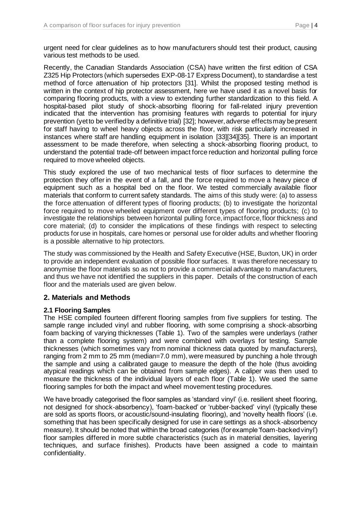urgent need for clear guidelines as to how manufacturers should test their product, causing various test methods to be used.

Recently, the Canadian Standards Association (CSA) have written the first edition of CSA Z325 Hip Protectors (which supersedes EXP-08-17 Express Document), to standardise a test method of force attenuation of hip protectors [31]. Whilst the proposed testing method is written in the context of hip protector assessment, here we have used it as a novel basis for comparing flooring products, with a view to extending further standardization to this field. A hospital-based pilot study of shock-absorbing flooring for fall-related injury prevention indicated that the intervention has promising features with regards to potential for injury prevention (yet to be verified by a definitive trial) [32]; however, adverse effects may be present for staff having to wheel heavy objects across the floor, with risk particularly increased in instances where staff are handling equipment in isolation [33][34][35]. There is an important assessment to be made therefore, when selecting a shock-absorbing flooring product, to understand the potential trade-off between impact force reduction and horizontal pulling force required to move wheeled objects.

This study explored the use of two mechanical tests of floor surfaces to determine the protection they offer in the event of a fall, and the force required to move a heavy piece of equipment such as a hospital bed on the floor. We tested commercially available floor materials that conform to current safety standards. The aims of this study were: (a) to assess the force attenuation of different types of flooring products; (b) to investigate the horizontal force required to move wheeled equipment over different types of flooring products; (c) to investigate the relationships between horizontal pulling force, impact force, floor thickness and core material; (d) to consider the implications of these findings with respect to selecting products for use in hospitals, care homes or personal use for older adults and whether flooring is a possible alternative to hip protectors.

The study was commissioned by the Health and Safety Executive (HSE, Buxton, UK) in order to provide an independent evaluation of possible floor surfaces. It was therefore necessary to anonymise the floor materials so as not to provide a commercial advantage to manufacturers, and thus we have not identified the suppliers in this paper. Details of the construction of each floor and the materials used are given below.

## **2. Materials and Methods**

## **2.1 Flooring Samples**

The HSE compiled fourteen different flooring samples from five suppliers for testing. The sample range included vinyl and rubber flooring, with some comprising a shock-absorbing foam backing of varying thicknesses (Table 1). Two of the samples were underlays (rather than a complete flooring system) and were combined with overlays for testing. Sample thicknesses (which sometimes vary from nominal thickness data quoted by manufacturers), ranging from 2 mm to 25 mm (median=7.0 mm), were measured by punching a hole through the sample and using a calibrated gauge to measure the depth of the hole (thus avoiding atypical readings which can be obtained from sample edges). A caliper was then used to measure the thickness of the individual layers of each floor (Table 1). We used the same flooring samples for both the impact and wheel movement testing procedures.

We have broadly categorised the floor samples as 'standard vinyl' (i.e. resilient sheet flooring, not designed for shock-absorbency), 'foam-backed' or 'rubber-backed' vinyl (typically these are sold as sports floors, or acoustic/sound-insulating flooring), and 'novelty health floors' (i.e. something that has been specifically designed for use in care settings as a shock-absorbency measure). It should be noted that within the broad categories (for example 'foam-backed vinyl') floor samples differed in more subtle characteristics (such as in material densities, layering techniques, and surface finishes). Products have been assigned a code to maintain confidentiality.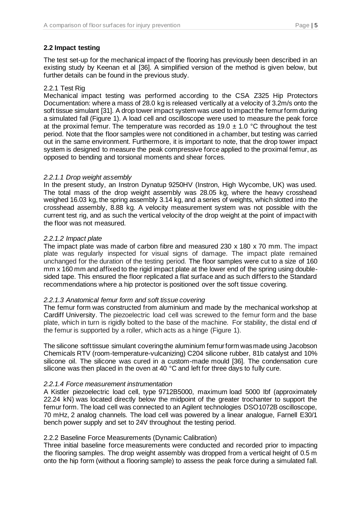## **2.2 Impact testing**

The test set-up for the mechanical impact of the flooring has previously been described in an existing study by Keenan et al [36]. A simplified version of the method is given below, but further details can be found in the previous study.

## 2.2.1 Test Rig

Mechanical impact testing was performed according to the CSA Z325 Hip Protectors Documentation: where a mass of 28.0 kg is released vertically at a velocity of 3.2m/s onto the soft tissue simulant [31]. A drop tower impact system was used to impact the femur form during a simulated fall (Figure 1). A load cell and oscilloscope were used to measure the peak force at the proximal femur. The temperature was recorded as  $19.0 \pm 1.0$  °C throughout the test period. Note that the floor samples were not conditioned in a chamber, but testing was carried out in the same environment. Furthermore, it is important to note, that the drop tower impact system is designed to measure the peak compressive force applied to the proximal femur, as opposed to bending and torsional moments and shear forces.

#### *2.2.1.1 Drop weight assembly*

In the present study, an Instron Dynatup 9250HV (Instron, High Wycombe, UK) was used. The total mass of the drop weight assembly was 28.05 kg, where the heavy crosshead weighed 16.03 kg, the spring assembly 3.14 kg, and a series of weights, which slotted into the crosshead assembly, 8.88 kg. A velocity measurement system was not possible with the current test rig, and as such the vertical velocity of the drop weight at the point of impact with the floor was not measured.

#### *2.2.1.2 Impact plate*

The impact plate was made of carbon fibre and measured 230 x 180 x 70 mm. The impact plate was regularly inspected for visual signs of damage. The impact plate remained unchanged for the duration of the testing period. The floor samples were cut to a size of 160 mm x 160 mm and affixed to the rigid impact plate at the lower end of the spring using doublesided tape. This ensured the floor replicated a flat surface and as such differs to the Standard recommendations where a hip protector is positioned over the soft tissue covering.

## *2.2.1.3 Anatomical femur form and soft tissue covering*

The femur form was constructed from aluminium and made by the mechanical workshop at Cardiff University. The piezoelectric load cell was screwed to the femur form and the base plate, which in turn is rigidly bolted to the base of the machine. For stability, the distal end of the femur is supported by a roller, which acts as a hinge (Figure 1).

The silicone soft tissue simulant covering the aluminium femur form was made using Jacobson Chemicals RTV (room-temperature-vulcanizing) C204 silicone rubber, 81b catalyst and 10% silicone oil. The silicone was cured in a custom-made mould [36]. The condensation cure silicone was then placed in the oven at 40 °C and left for three days to fully cure.

## *2.2.1.4 Force measurement instrumentation*

A Kistler piezoelectric load cell, type 9712B5000, maximum load 5000 Ibf (approximately 22.24 kN) was located directly below the midpoint of the greater trochanter to support the femur form. The load cell was connected to an Agilent technologies DSO1072B oscilloscope, 70 mHz, 2 analog channels. The load cell was powered by a linear analogue, Farnell E30/1 bench power supply and set to 24V throughout the testing period.

## 2.2.2 Baseline Force Measurements (Dynamic Calibration)

Three initial baseline force measurements were conducted and recorded prior to impacting the flooring samples. The drop weight assembly was dropped from a vertical height of 0.5 m onto the hip form (without a flooring sample) to assess the peak force during a simulated fall.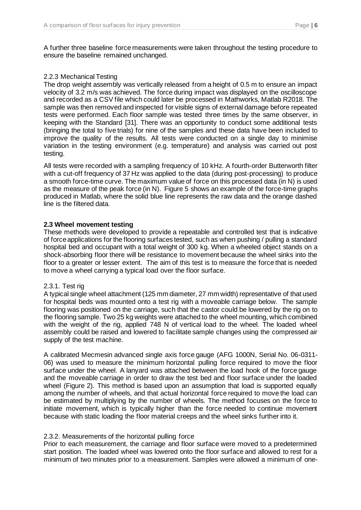A further three baseline force measurements were taken throughout the testing procedure to ensure the baseline remained unchanged.

## 2.2.3 Mechanical Testing

The drop weight assembly was vertically released from a height of 0.5 m to ensure an impact velocity of 3.2 m/s was achieved. The force during impact was displayed on the oscilloscope and recorded as a CSV file which could later be processed in Mathworks, Matlab R2018. The sample was then removed and inspected for visible signs of external damage before repeated tests were performed. Each floor sample was tested three times by the same observer, in keeping with the Standard [31]. There was an opportunity to conduct some additional tests (bringing the total to five trials) for nine of the samples and these data have been included to improve the quality of the results. All tests were conducted on a single day to minimise variation in the testing environment (e.g. temperature) and analysis was carried out post testing.

All tests were recorded with a sampling frequency of 10 kHz. A fourth-order Butterworth filter with a cut-off frequency of 37 Hz was applied to the data (during post-processing) to produce a smooth force-time curve. The maximum value of force on this processed data (in N) is used as the measure of the peak force (in N). Figure 5 shows an example of the force-time graphs produced in Matlab, where the solid blue line represents the raw data and the orange dashed line is the filtered data.

## **2.3 Wheel movement testing**

These methods were developed to provide a repeatable and controlled test that is indicative of force applications for the flooring surfaces tested, such as when pushing / pulling a standard hospital bed and occupant with a total weight of 300 kg. When a wheeled object stands on a shock-absorbing floor there will be resistance to movement because the wheel sinks into the floor to a greater or lesser extent. The aim of this test is to measure the force that is needed to move a wheel carrying a typical load over the floor surface.

## 2.3.1. Test rig

A typical single wheel attachment (125 mm diameter, 27 mm width) representative of that used for hospital beds was mounted onto a test rig with a moveable carriage below. The sample flooring was positioned on the carriage, such that the castor could be lowered by the rig on to the flooring sample. Two 25 kg weights were attached to the wheel mounting, which combined with the weight of the rig, applied 748 N of vertical load to the wheel. The loaded wheel assembly could be raised and lowered to facilitate sample changes using the compressed air supply of the test machine.

A calibrated Mecmesin advanced single axis force gauge (AFG 1000N, Serial No. 06-0311- 06) was used to measure the minimum horizontal pulling force required to move the floor surface under the wheel. A lanyard was attached between the load hook of the force gauge and the moveable carriage in order to draw the test bed and floor surface under the loaded wheel (Figure 2). This method is based upon an assumption that load is supported equally among the number of wheels, and that actual horizontal force required to move the load can be estimated by multiplying by the number of wheels. The method focuses on the force to initiate movement, which is typically higher than the force needed to continue movement because with static loading the floor material creeps and the wheel sinks further into it.

## 2.3.2. Measurements of the horizontal pulling force

Prior to each measurement, the carriage and floor surface were moved to a predetermined start position. The loaded wheel was lowered onto the floor surface and allowed to rest for a minimum of two minutes prior to a measurement. Samples were allowed a minimum of one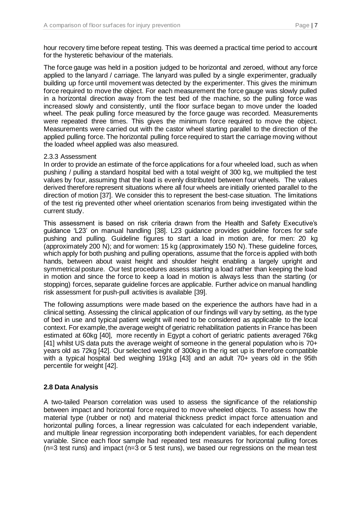hour recovery time before repeat testing. This was deemed a practical time period to account for the hysteretic behaviour of the materials.

The force gauge was held in a position judged to be horizontal and zeroed, without any force applied to the lanyard / carriage. The lanyard was pulled by a single experimenter, gradually building up force until movement was detected by the experimenter. This gives the minimum force required to move the object. For each measurement the force gauge was slowly pulled in a horizontal direction away from the test bed of the machine, so the pulling force was increased slowly and consistently, until the floor surface began to move under the loaded wheel. The peak pulling force measured by the force gauge was recorded. Measurements were repeated three times. This gives the minimum force required to move the object. Measurements were carried out with the castor wheel starting parallel to the direction of the applied pulling force. The horizontal pulling force required to start the carriage moving without the loaded wheel applied was also measured.

#### 2.3.3 Assessment

In order to provide an estimate of the force applications for a four wheeled load, such as when pushing / pulling a standard hospital bed with a total weight of 300 kg, we multiplied the test values by four, assuming that the load is evenly distributed between four wheels. The values derived therefore represent situations where all four wheels are initially oriented parallel to the direction of motion [37]. We consider this to represent the best-case situation. The limitations of the test rig prevented other wheel orientation scenarios from being investigated within the current study.

This assessment is based on risk criteria drawn from the Health and Safety Executive's guidance 'L23' on manual handling [38]. L23 guidance provides guideline forces for safe pushing and pulling. Guideline figures to start a load in motion are, for men: 20 kg (approximately 200 N); and for women: 15 kg (approximately 150 N). These guideline forces, which apply for both pushing and pulling operations, assume that the force is applied with both hands, between about waist height and shoulder height enabling a largely upright and symmetrical posture. Our test procedures assess starting a load rather than keeping the load in motion and since the force to keep a load in motion is always less than the starting (or stopping) forces, separate guideline forces are applicable. Further advice on manual handling risk assessment for push-pull activities is available [39].

The following assumptions were made based on the experience the authors have had in a clinical setting. Assessing the clinical application of our findings will vary by setting, as the type of bed in use and typical patient weight will need to be considered as applicable to the local context. For example, the average weight of geriatric rehabilitation patients in France has been estimated at 60kg [40], more recently in Egypt a cohort of geriatric patients averaged 76kg [41] whilst US data puts the average weight of someone in the general population who is 70+ years old as 72kg [42]. Our selected weight of 300kg in the rig set up is therefore compatible with a typical hospital bed weighing 191kg [43] and an adult 70+ years old in the 95th percentile for weight [42].

## **2.8 Data Analysis**

A two-tailed Pearson correlation was used to assess the significance of the relationship between impact and horizontal force required to move wheeled objects. To assess how the material type (rubber or not) and material thickness predict impact force attenuation and horizontal pulling forces, a linear regression was calculated for each independent variable, and multiple linear regression incorporating both independent variables, for each dependent variable. Since each floor sample had repeated test measures for horizontal pulling forces (n=3 test runs) and impact (n=3 or 5 test runs), we based our regressions on the mean test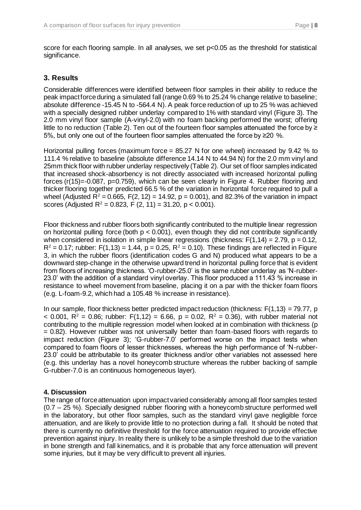score for each flooring sample. In all analyses, we set  $p<0.05$  as the threshold for statistical significance.

# **3. Results**

Considerable differences were identified between floor samples in their ability to reduce the peak impact force during a simulated fall (range 0.69 % to 25.24 % change relative to baseline; absolute difference -15.45 N to -564.4 N). A peak force reduction of up to 25 % was achieved with a specially designed rubber underlay compared to 1% with standard vinyl (Figure 3). The 2.0 mm vinyl floor sample (A-vinyl-2.0) with no foam backing performed the worst; offering little to no reduction (Table 2). Ten out of the fourteen floor samples attenuated the force by  $\ge$ 5%, but only one out of the fourteen floor samples attenuated the force by ≥20 %.

Horizontal pulling forces (maximum force = 85.27 N for one wheel) increased by 9.42 % to 111.4 % relative to baseline (absolute difference 14.14 N to 44.94 N) for the 2.0 mm vinyl and 25mm thick floor with rubber underlay respectively (Table 2). Our set of floor samples indicated that increased shock-absorbency is not directly associated with increased horizontal pulling forces (r(15)=-0.087, p=0.759), which can be seen clearly in Figure 4. Rubber flooring and thicker flooring together predicted 66.5 % of the variation in horizontal force required to pull a wheel (Adjusted  $\overline{R}^2 = 0.665$ , F(2, 12) = 14.92, p = 0.001), and 82.3% of the variation in impact scores (Adjusted R<sup>2</sup> = 0.823, F (2, 11) = 31.20, p < 0.001).

Floor thickness and rubber floors both significantly contributed to the multiple linear regression on horizontal pulling force (both  $p < 0.001$ ), even though they did not contribute significantly when considered in isolation in simple linear regressions (thickness:  $F(1,14) = 2.79$ ,  $p = 0.12$ ,  $R^2 = 0.17$ ; rubber: F(1,13) = 1.44, p = 0.25, R<sup>2</sup> = 0.10). These findings are reflected in Figure 3, in which the rubber floors (identification codes G and N) produced what appears to be a downward step-change in the otherwise upward trend in horizontal pulling force that is evident from floors of increasing thickness. 'O-rubber-25.0' is the same rubber underlay as 'N-rubber-23.0' with the addition of a standard vinyl overlay. This floor produced a 111.43 % increase in resistance to wheel movement from baseline, placing it on a par with the thicker foam floors (e.g. L-foam-9.2, which had a 105.48 % increase in resistance).

In our sample, floor thickness better predicted impact reduction (thickness:  $F(1,13) = 79.77$ , p < 0.001,  $R^2 = 0.86$ ; rubber: F(1,12) = 6.66, p = 0.02, R<sup>2</sup> = 0.36), with rubber material not contributing to the multiple regression model when looked at in combination with thickness (p = 0.82). However rubber was not universally better than foam-based floors with regards to impact reduction (Figure 3); 'G-rubber-7.0' performed worse on the impact tests when compared to foam floors of lesser thicknesses, whereas the high performance of 'N-rubber-23.0' could be attributable to its greater thickness and/or other variables not assessed here (e.g. this underlay has a novel honeycomb structure whereas the rubber backing of sample G-rubber-7.0 is an continuous homogeneous layer).

## **4. Discussion**

The range of force attenuation upon impact varied considerably among all floor samples tested (0.7 – 25 %). Specially designed rubber flooring with a honeycomb structure performed well in the laboratory, but other floor samples, such as the standard vinyl gave negligible force attenuation, and are likely to provide little to no protection during a fall. It should be noted that there is currently no definitive threshold for the force attenuation required to provide effective prevention against injury. In reality there is unlikely to be a simple threshold due to the variation in bone strength and fall kinematics, and it is probable that any force attenuation will prevent some injuries, but it may be very difficult to prevent all injuries.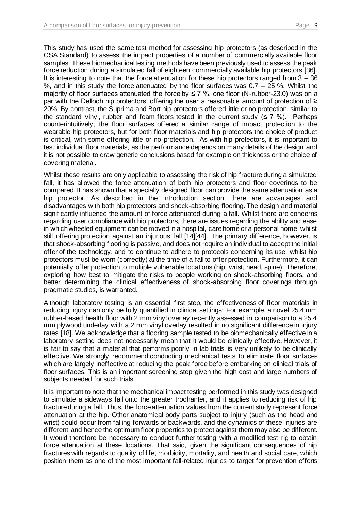This study has used the same test method for assessing hip protectors (as described in the CSA Standard) to assess the impact properties of a number of commercially available floor samples. These biomechanical testing methods have been previously used to assess the peak force reduction during a simulated fall of eighteen commercially available hip protectors [36]. It is interesting to note that the force attenuation for these hip protectors ranged from  $3 - 36$ %, and in this study the force attenuated by the floor surfaces was  $0.7 - 25$ %. Whilst the majority of floor surfaces attenuated the force by  $\leq 7$  %, one floor (N-rubber-23.0) was on a par with the Delloch hip protectors, offering the user a reasonable amount of protection of ≥ 20%. By contrast, the Suprima and Bort hip protectors offered little or no protection, similar to the standard vinyl, rubber and foam floors tested in the current study  $(57\%)$ . Perhaps counterintuitively, the floor surfaces offered a similar range of impact protection to the wearable hip protectors, but for both floor materials and hip protectors the choice of product is critical, with some offering little or no protection. As with hip protectors, it is important to test individual floor materials, as the performance depends on many details of the design and it is not possible to draw generic conclusions based for example on thickness or the choice of covering material.

Whilst these results are only applicable to assessing the risk of hip fracture during a simulated fall, it has allowed the force attenuation of both hip protectors and floor coverings to be compared. It has shown that a specially designed floor can provide the same attenuation as a hip protector. As described in the Introduction section, there are advantages and disadvantages with both hip protectors and shock-absorbing flooring. The design and material significantly influence the amount of force attenuated during a fall. Whilst there are concerns regarding user compliance with hip protectors, there are issues regarding the ability and ease in which wheeled equipment can be moved in a hospital, care home or a personal home, whilst still offering protection against an injurious fall [14][44]. The primary difference, however, is that shock-absorbing flooring is passive, and does not require an individual to accept the initial offer of the technology, and to continue to adhere to protocols concerning its use, whilst hip protectors must be worn (correctly) at the time of a fall to offer protection. Furthermore, it can potentially offer protection to multiple vulnerable locations (hip, wrist, head, spine). Therefore, exploring how best to mitigate the risks to people working on shock-absorbing floors, and better determining the clinical effectiveness of shock-absorbing floor coverings through pragmatic studies, is warranted.

Although laboratory testing is an essential first step, the effectiveness of floor materials in reducing injury can only be fully quantified in clinical settings; For example, a novel 25.4 mm rubber-based health floor with 2 mm vinyl overlay recently assessed in comparison to a 25.4 mm plywood underlay with a 2 mm vinyl overlay resulted in no significant difference in injury rates [18]. We acknowledge that a flooring sample tested to be biomechanically effective in a laboratory setting does not necessarily mean that it would be clinically effective. However, it is fair to say that a material that performs poorly in lab trials is very unlikely to be clinically effective. We strongly recommend conducting mechanical tests to eliminate floor surfaces which are largely ineffective at reducing the peak force before embarking on clinical trials of floor surfaces. This is an important screening step given the high cost and large numbers of subjects needed for such trials.

It is important to note that the mechanical impact testing performed in this study was designed to simulate a sideways fall onto the greater trochanter, and it applies to reducing risk of hip fracture during a fall. Thus, the force attenuation values from the current study represent force attenuation at the hip. Other anatomical body parts subject to injury (such as the head and wrist) could occur from falling forwards or backwards, and the dynamics of these injuries are different, and hence the optimum floor properties to protect against them may also be different. It would therefore be necessary to conduct further testing with a modified test rig to obtain force attenuation at these locations. That said, given the significant consequences of hip fractures with regards to quality of life, morbidity, mortality, and health and social care, which position them as one of the most important fall-related injuries to target for prevention efforts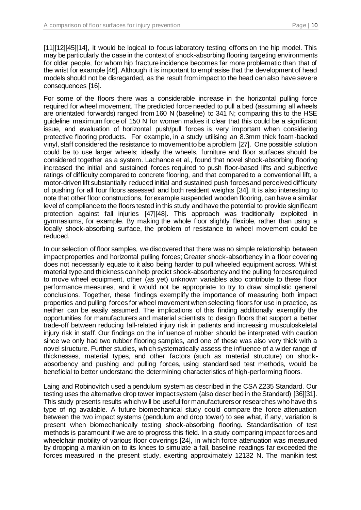[11][12][45][14], it would be logical to focus laboratory testing efforts on the hip model. This may be particularly the case in the context of shock-absorbing flooring targeting environments for older people, for whom hip fracture incidence becomes far more problematic than that of the wrist for example [46]. Although it is important to emphasise that the development of head models should not be disregarded, as the result from impact to the head can also have severe consequences [16].

For some of the floors there was a considerable increase in the horizontal pulling force required for wheel movement. The predicted force needed to pull a bed (assuming all wheels are orientated forwards) ranged from 160 N (baseline) to 341 N; comparing this to the HSE guideline maximum force of 150 N for women makes it clear that this could be a significant issue, and evaluation of horizontal push/pull forces is very important when considering protective flooring products. For example, in a study utilising an 8.3mm thick foam-backed vinyl, staff considered the resistance to movement to be a problem [27]. One possible solution could be to use larger wheels; ideally the wheels, furniture and floor surfaces should be considered together as a system. Lachance et al., found that novel shock-absorbing flooring increased the initial and sustained forces required to push floor-based lifts and subjective ratings of difficulty compared to concrete flooring, and that compared to a conventional lift, a motor-driven lift substantially reduced initial and sustained push forces and perceived difficulty of pushing for all four floors assessed and both resident weights [34]. It is also interesting to note that other floor constructions, for example suspended wooden flooring, can have a similar level of compliance to the floors tested in this study and have the potential to provide significant protection against fall injuries [47][48]. This approach was traditionally exploited in gymnasiums, for example. By making the whole floor slightly flexible, rather than using a locally shock-absorbing surface, the problem of resistance to wheel movement could be reduced.

In our selection of floor samples, we discovered that there was no simple relationship between impact properties and horizontal pulling forces; Greater shock-absorbency in a floor covering does not necessarily equate to it also being harder to pull wheeled equipment across. Whilst material type and thickness can help predict shock-absorbency and the pulling forces required to move wheel equipment, other (as yet) unknown variables also contribute to these floor performance measures, and it would not be appropriate to try to draw simplistic general conclusions. Together, these findings exemplify the importance of measuring both impact properties and pulling forces for wheel movement when selecting floors for use in practice, as neither can be easily assumed. The implications of this finding additionally exemplify the opportunities for manufacturers and material scientists to design floors that support a better trade-off between reducing fall-related injury risk in patients and increasing musculoskeletal injury risk in staff. Our findings on the influence of rubber should be interpreted with caution since we only had two rubber flooring samples, and one of these was also very thick with a novel structure. Further studies, which systematically assess the influence of a wider range of thicknesses, material types, and other factors (such as material structure) on shockabsorbency and pushing and pulling forces, using standardised test methods, would be beneficial to better understand the determining characteristics of high-performing floors.

Laing and Robinovitch used a pendulum system as described in the CSA Z235 Standard. Our testing uses the alternative drop tower impact system (also described in the Standard) [36][31]. This study presents results which will be useful for manufacturers or researches who have this type of rig available. A future biomechanical study could compare the force attenuation between the two impact systems (pendulum and drop tower) to see what, if any, variation is present when biomechanically testing shock-absorbing flooring. Standardisation of test methods is paramount if we are to progress this field. In a study comparing impact forces and wheelchair mobility of various floor coverings [24], in which force attenuation was measured by dropping a manikin on to its knees to simulate a fall, baseline readings far exceeded the forces measured in the present study, exerting approximately 12132 N. The manikin test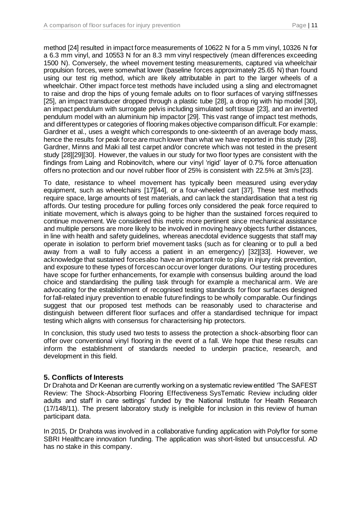method [24] resulted in impact force measurements of 10622 N for a 5 mm vinyl, 10326 N for a 6.3 mm vinyl, and 10553 N for an 8.3 mm vinyl respectively (mean differences exceeding 1500 N). Conversely, the wheel movement testing measurements, captured via wheelchair propulsion forces, were somewhat lower (baseline forces approximately 25.65 N) than found using our test rig method, which are likely attributable in part to the larger wheels of a wheelchair. Other impact force test methods have included using a sling and electromagnet to raise and drop the hips of young female adults on to floor surfaces of varying stiffnesses [25], an impact transducer dropped through a plastic tube [28], a drop rig with hip model [30], an impact pendulum with surrogate pelvis including simulated soft tissue [23], and an inverted pendulum model with an aluminium hip impactor [29]. This vast range of impact test methods, and different types or categories of flooring makes objective comparison difficult. For example: Gardner et al., uses a weight which corresponds to one-sixteenth of an average body mass, hence the results for peak force are much lower than what we have reported in this study [28]. Gardner, Minns and Maki all test carpet and/or concrete which was not tested in the present study [28][29][30]. However, the values in our study for two floor types are consistent with the findings from Laing and Robinovitch, where our vinyl 'rigid' layer of 0.7% force attenuation offers no protection and our novel rubber floor of 25% is consistent with 22.5% at 3m/s [23].

To date, resistance to wheel movement has typically been measured using everyday equipment, such as wheelchairs [17][44], or a four-wheeled cart [37]. These test methods require space, large amounts of test materials, and can lack the standardisation that a test rig affords. Our testing procedure for pulling forces only considered the peak force required to initiate movement, which is always going to be higher than the sustained forces required to continue movement. We considered this metric more pertinent since mechanical assistance and multiple persons are more likely to be involved in moving heavy objects further distances, in line with health and safety guidelines, whereas anecdotal evidence suggests that staff may operate in isolation to perform brief movement tasks (such as for cleaning or to pull a bed away from a wall to fully access a patient in an emergency) [32][33]. However, we acknowledge that sustained forces also have an important role to play in injury risk prevention, and exposure to these types of forces can occur over longer durations. Our testing procedures have scope for further enhancements, for example with consensus building around the load choice and standardising the pulling task through for example a mechanical arm. We are advocating for the establishment of recognised testing standards for floor surfaces designed for fall-related injury prevention to enable future findings to be wholly comparable. Our findings suggest that our proposed test methods can be reasonably used to characterise and distinguish between different floor surfaces and offer a standardised technique for impact testing which aligns with consensus for characterising hip protectors.

In conclusion, this study used two tests to assess the protection a shock-absorbing floor can offer over conventional vinyl flooring in the event of a fall. We hope that these results can inform the establishment of standards needed to underpin practice, research, and development in this field.

# **5. Conflicts of Interests**

Dr Drahota and Dr Keenan are currently working on a systematic review entitled 'The SAFEST Review: The Shock-Absorbing Flooring Effectiveness SysTematic Review including older adults and staff in care settings' funded by the National Institute for Health Research (17/148/11). The present laboratory study is ineligible for inclusion in this review of human participant data.

In 2015, Dr Drahota was involved in a collaborative funding application with Polyflor for some SBRI Healthcare innovation funding. The application was short-listed but unsuccessful. AD has no stake in this company.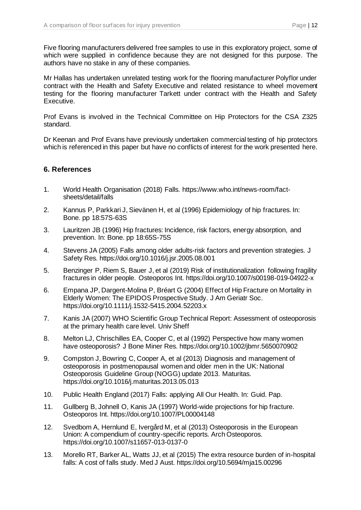Five flooring manufacturers delivered free samples to use in this exploratory project, some of which were supplied in confidence because they are not designed for this purpose. The authors have no stake in any of these companies.

Mr Hallas has undertaken unrelated testing work for the flooring manufacturer Polyflor under contract with the Health and Safety Executive and related resistance to wheel movement testing for the flooring manufacturer Tarkett under contract with the Health and Safety Executive.

Prof Evans is involved in the Technical Committee on Hip Protectors for the CSA Z325 standard.

Dr Keenan and Prof Evans have previously undertaken commercial testing of hip protectors which is referenced in this paper but have no conflicts of interest for the work presented here.

# **6. References**

- 1. World Health Organisation (2018) Falls. https://www.who.int/news-room/factsheets/detail/falls
- 2. Kannus P, Parkkari J, Sievänen H, et al (1996) Epidemiology of hip fractures. In: Bone. pp 18:57S-63S
- 3. Lauritzen JB (1996) Hip fractures: Incidence, risk factors, energy absorption, and prevention. In: Bone. pp 18:65S-75S
- 4. Stevens JA (2005) Falls among older adults-risk factors and prevention strategies. J Safety Res. https://doi.org/10.1016/j.jsr.2005.08.001
- 5. Benzinger P, Riem S, Bauer J, et al (2019) Risk of institutionalization following fragility fractures in older people. Osteoporos Int. https://doi.org/10.1007/s00198-019-04922-x
- 6. Empana JP, Dargent-Molina P, Bréart G (2004) Effect of Hip Fracture on Mortality in Elderly Women: The EPIDOS Prospective Study. J Am Geriatr Soc. https://doi.org/10.1111/j.1532-5415.2004.52203.x
- 7. Kanis JA (2007) WHO Scientific Group Technical Report: Assessment of osteoporosis at the primary health care level. Univ Sheff
- 8. Melton LJ, Chrischilles EA, Cooper C, et al (1992) Perspective how many women have osteoporosis? J Bone Miner Res. https://doi.org/10.1002/jbmr.5650070902
- 9. Compston J, Bowring C, Cooper A, et al (2013) Diagnosis and management of osteoporosis in postmenopausal women and older men in the UK: National Osteoporosis Guideline Group (NOGG) update 2013. Maturitas. https://doi.org/10.1016/j.maturitas.2013.05.013
- 10. Public Health England (2017) Falls: applying All Our Health. In: Guid. Pap.
- 11. Gullberg B, Johnell O, Kanis JA (1997) World-wide projections for hip fracture. Osteoporos Int. https://doi.org/10.1007/PL00004148
- 12. Svedbom A, Hernlund E, Ivergård M, et al (2013) Osteoporosis in the European Union: A compendium of country-specific reports. Arch Osteoporos. https://doi.org/10.1007/s11657-013-0137-0
- 13. Morello RT, Barker AL, Watts JJ, et al (2015) The extra resource burden of in-hospital falls: A cost of falls study. Med J Aust. https://doi.org/10.5694/mja15.00296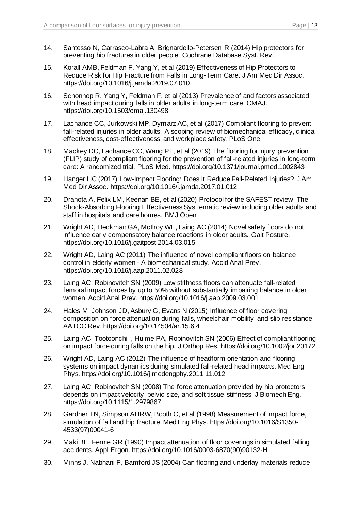- 14. Santesso N, Carrasco-Labra A, Brignardello-Petersen R (2014) Hip protectors for preventing hip fractures in older people. Cochrane Database Syst. Rev.
- 15. Korall AMB, Feldman F, Yang Y, et al (2019) Effectiveness of Hip Protectors to Reduce Risk for Hip Fracture from Falls in Long-Term Care. J Am Med Dir Assoc. https://doi.org/10.1016/j.jamda.2019.07.010
- 16. Schonnop R, Yang Y, Feldman F, et al (2013) Prevalence of and factors associated with head impact during falls in older adults in long-term care. CMAJ. https://doi.org/10.1503/cmaj.130498
- 17. Lachance CC, Jurkowski MP, Dymarz AC, et al (2017) Compliant flooring to prevent fall-related injuries in older adults: A scoping review of biomechanical efficacy, clinical effectiveness, cost-effectiveness, and workplace safety. PLoS One
- 18. Mackey DC, Lachance CC, Wang PT, et al (2019) The flooring for injury prevention (FLIP) study of compliant flooring for the prevention of fall-related injuries in long-term care: A randomized trial. PLoS Med. https://doi.org/10.1371/journal.pmed.1002843
- 19. Hanger HC (2017) Low-Impact Flooring: Does It Reduce Fall-Related Injuries? J Am Med Dir Assoc. https://doi.org/10.1016/j.jamda.2017.01.012
- 20. Drahota A, Felix LM, Keenan BE, et al (2020) Protocol for the SAFEST review: The Shock-Absorbing Flooring Effectiveness SysTematic review including older adults and staff in hospitals and care homes. BMJ Open
- 21. Wright AD, Heckman GA, McIlroy WE, Laing AC (2014) Novel safety floors do not influence early compensatory balance reactions in older adults. Gait Posture. https://doi.org/10.1016/j.gaitpost.2014.03.015
- 22. Wright AD, Laing AC (2011) The influence of novel compliant floors on balance control in elderly women - A biomechanical study. Accid Anal Prev. https://doi.org/10.1016/j.aap.2011.02.028
- 23. Laing AC, Robinovitch SN (2009) Low stiffness floors can attenuate fall-related femoral impact forces by up to 50% without substantially impairing balance in older women. Accid Anal Prev. https://doi.org/10.1016/j.aap.2009.03.001
- 24. Hales M, Johnson JD, Asbury G, Evans N (2015) Influence of floor covering composition on force attenuation during falls, wheelchair mobility, and slip resistance. AATCC Rev. https://doi.org/10.14504/ar.15.6.4
- 25. Laing AC, Tootoonchi I, Hulme PA, Robinovitch SN (2006) Effect of compliant flooring on impact force during falls on the hip. J Orthop Res. https://doi.org/10.1002/jor.20172
- 26. Wright AD, Laing AC (2012) The influence of headform orientation and flooring systems on impact dynamics during simulated fall-related head impacts. Med Eng Phys. https://doi.org/10.1016/j.medengphy.2011.11.012
- 27. Laing AC, Robinovitch SN (2008) The force attenuation provided by hip protectors depends on impact velocity, pelvic size, and soft tissue stiffness. J Biomech Eng. https://doi.org/10.1115/1.2979867
- 28. Gardner TN, Simpson AHRW, Booth C, et al (1998) Measurement of impact force, simulation of fall and hip fracture. Med Eng Phys. https://doi.org/10.1016/S1350- 4533(97)00041-6
- 29. Maki BE, Fernie GR (1990) Impact attenuation of floor coverings in simulated falling accidents. Appl Ergon. https://doi.org/10.1016/0003-6870(90)90132-H
- 30. Minns J, Nabhani F, Bamford JS (2004) Can flooring and underlay materials reduce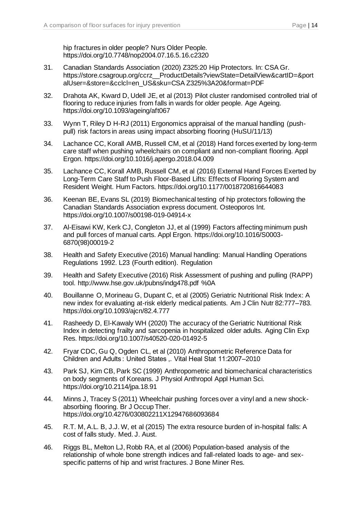hip fractures in older people? Nurs Older People. https://doi.org/10.7748/nop2004.07.16.5.16.c2320

- 31. Canadian Standards Association (2020) Z325:20 Hip Protectors. In: CSA Gr. https://store.csagroup.org/ccrz\_\_ProductDetails?viewState=DetailView&cartID=&port alUser=&store=&cclcl=en\_US&sku=CSA Z325%3A20&format=PDF
- 32. Drahota AK, Kward D, Udell JE, et al (2013) Pilot cluster randomised controlled trial of flooring to reduce injuries from falls in wards for older people. Age Ageing. https://doi.org/10.1093/ageing/aft067
- 33. Wynn T, Riley D H-RJ (2011) Ergonomics appraisal of the manual handling (pushpull) risk factors in areas using impact absorbing flooring (HuSU/11/13)
- 34. Lachance CC, Korall AMB, Russell CM, et al (2018) Hand forces exerted by long-term care staff when pushing wheelchairs on compliant and non-compliant flooring. Appl Ergon. https://doi.org/10.1016/j.apergo.2018.04.009
- 35. Lachance CC, Korall AMB, Russell CM, et al (2016) External Hand Forces Exerted by Long-Term Care Staff to Push Floor-Based Lifts: Effects of Flooring System and Resident Weight. Hum Factors. https://doi.org/10.1177/0018720816644083
- 36. Keenan BE, Evans SL (2019) Biomechanical testing of hip protectors following the Canadian Standards Association express document. Osteoporos Int. https://doi.org/10.1007/s00198-019-04914-x
- 37. Al-Eisawi KW, Kerk CJ, Congleton JJ, et al (1999) Factors affecting minimum push and pull forces of manual carts. Appl Ergon. https://doi.org/10.1016/S0003- 6870(98)00019-2
- 38. Health and Safety Executive (2016) Manual handling: Manual Handling Operations Regulations 1992. L23 (Fourth edition). Regulation
- 39. Health and Safety Executive (2016) Risk Assessment of pushing and pulling (RAPP) tool. http://www.hse.gov.uk/pubns/indg478.pdf %0A
- 40. Bouillanne O, Morineau G, Dupant C, et al (2005) Geriatric Nutritional Risk Index: A new index for evaluating at-risk elderly medical patients. Am J Clin Nutr 82:777–783. https://doi.org/10.1093/ajcn/82.4.777
- 41. Rasheedy D, El-Kawaly WH (2020) The accuracy of the Geriatric Nutritional Risk Index in detecting frailty and sarcopenia in hospitalized older adults. Aging Clin Exp Res. https://doi.org/10.1007/s40520-020-01492-5
- 42. Fryar CDC, Gu Q, Ogden CL, et al (2010) Anthropometric Reference Data for Children and Adults : United States ,. Vital Heal Stat 11:2007–2010
- 43. Park SJ, Kim CB, Park SC (1999) Anthropometric and biomechanical characteristics on body segments of Koreans. J Physiol Anthropol Appl Human Sci. https://doi.org/10.2114/jpa.18.91
- 44. Minns J, Tracey S (2011) Wheelchair pushing forces over a vinyl and a new shockabsorbing flooring. Br J Occup Ther. https://doi.org/10.4276/030802211X12947686093684
- 45. R.T. M, A.L. B, J.J. W, et al (2015) The extra resource burden of in-hospital falls: A cost of falls study. Med. J. Aust.
- 46. Riggs BL, Melton LJ, Robb RA, et al (2006) Population-based analysis of the relationship of whole bone strength indices and fall-related loads to age- and sexspecific patterns of hip and wrist fractures. J Bone Miner Res.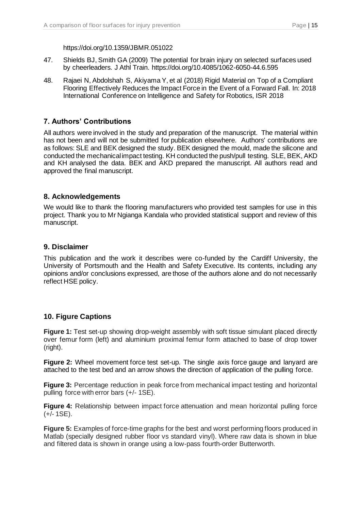https://doi.org/10.1359/JBMR.051022

- 47. Shields BJ, Smith GA (2009) The potential for brain injury on selected surfaces used by cheerleaders. J Athl Train. https://doi.org/10.4085/1062-6050-44.6.595
- 48. Rajaei N, Abdolshah S, Akiyama Y, et al (2018) Rigid Material on Top of a Compliant Flooring Effectively Reduces the Impact Force in the Event of a Forward Fall. In: 2018 International Conference on Intelligence and Safety for Robotics, ISR 2018

# **7. Authors' Contributions**

All authors were involved in the study and preparation of the manuscript. The material within has not been and will not be submitted for publication elsewhere. Authors' contributions are as follows: SLE and BEK designed the study. BEK designed the mould, made the silicone and conducted the mechanical impact testing. KH conducted the push/pull testing. SLE, BEK, AKD and KH analysed the data. BEK and AKD prepared the manuscript. All authors read and approved the final manuscript.

# **8. Acknowledgements**

We would like to thank the flooring manufacturers who provided test samples for use in this project. Thank you to Mr Ngianga Kandala who provided statistical support and review of this manuscript.

## **9. Disclaimer**

This publication and the work it describes were co-funded by the Cardiff University, the University of Portsmouth and the Health and Safety Executive. Its contents, including any opinions and/or conclusions expressed, are those of the authors alone and do not necessarily reflect HSE policy.

## **10. Figure Captions**

**Figure 1:** Test set-up showing drop-weight assembly with soft tissue simulant placed directly over femur form (left) and aluminium proximal femur form attached to base of drop tower (right).

**Figure 2:** Wheel movement force test set-up. The single axis force gauge and lanyard are attached to the test bed and an arrow shows the direction of application of the pulling force.

**Figure 3:** Percentage reduction in peak force from mechanical impact testing and horizontal pulling force with error bars (+/- 1SE).

**Figure 4:** Relationship between impact force attenuation and mean horizontal pulling force (+/- 1SE).

**Figure 5:** Examples of force-time graphs for the best and worst performing floors produced in Matlab (specially designed rubber floor vs standard vinyl). Where raw data is shown in blue and filtered data is shown in orange using a low-pass fourth-order Butterworth.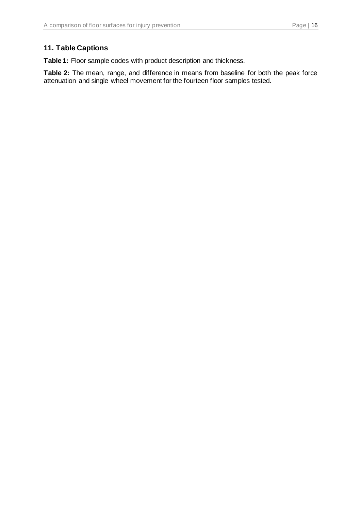# **11. Table Captions**

**Table 1:** Floor sample codes with product description and thickness.

**Table 2:** The mean, range, and difference in means from baseline for both the peak force attenuation and single wheel movement for the fourteen floor samples tested.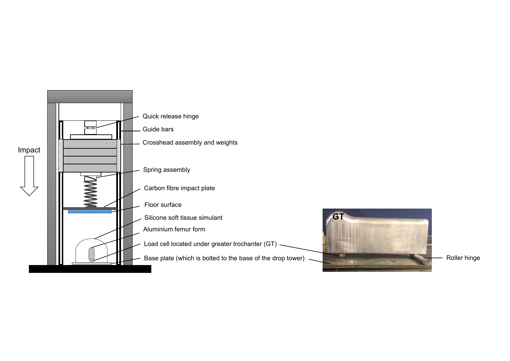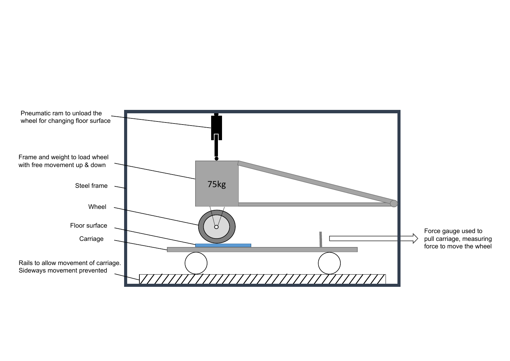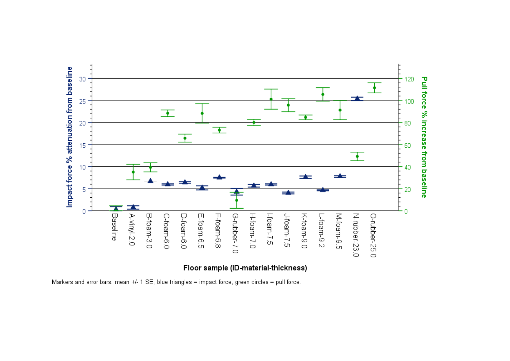

Markers and error bars: mean +/- 1 SE; blue triangles = impact force, green circles = pull force.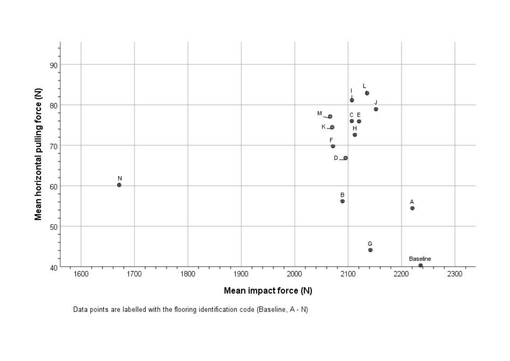

Data points are labelled with the flooring identification code (Baseline, A - N)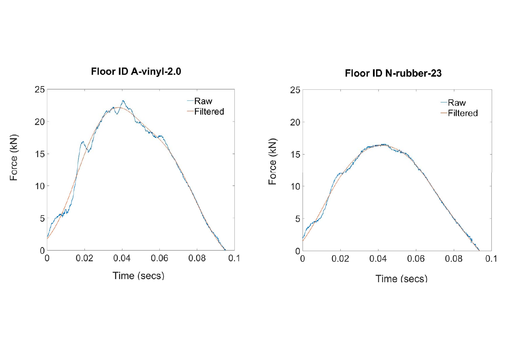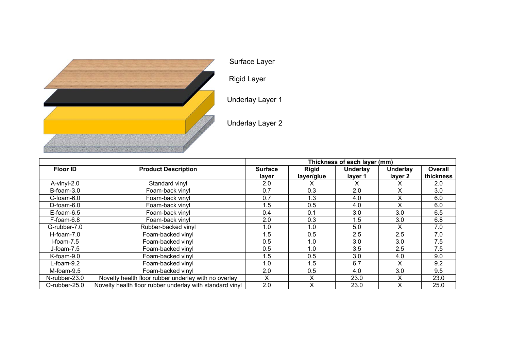

Surface Layer

Rigid Layer

Underlay Layer 1

Underlay Layer 2

|                  |                                                          | Thickness of each layer (mm) |              |                 |                 |           |  |
|------------------|----------------------------------------------------------|------------------------------|--------------|-----------------|-----------------|-----------|--|
| <b>Floor ID</b>  | <b>Product Description</b>                               | <b>Surface</b>               | <b>Rigid</b> | <b>Underlay</b> | <b>Underlay</b> | Overall   |  |
|                  |                                                          | layer                        | layer/glue   | layer 1         | layer 2         | thickness |  |
| A-vinyl-2.0      | Standard vinyl                                           | 2.0                          |              | х               |                 | 2.0       |  |
| $B$ -foam- $3.0$ | Foam-back vinyl                                          | 0.7                          | 0.3          | 2.0             | X               | 3.0       |  |
| $C$ -foam-6.0    | Foam-back vinyl                                          | 0.7                          | 1.3          | 4.0             | x               | 6.0       |  |
| $D$ -foam-6.0    | Foam-back vinyl                                          | 1.5                          | 0.5          | 4.0             | x               | 6.0       |  |
| $E$ -foam-6.5    | Foam-back vinyl                                          | 0.4                          | 0.1          | 3.0             | 3.0             | 6.5       |  |
| F-foam-6.8       | Foam-back vinyl                                          | 2.0                          | 0.3          | 1.5             | 3.0             | 6.8       |  |
| G-rubber-7.0     | Rubber-backed vinyl                                      | 1.0                          | 1.0          | 5.0             |                 | 7.0       |  |
| $H$ -foam-7.0    | Foam-backed vinyl                                        | 1.5                          | 0.5          | 2.5             | 2.5             | 7.0       |  |
| $l$ -foam-7.5    | Foam-backed vinyl                                        | 0.5                          | 1.0          | 3.0             | 3.0             | 7.5       |  |
| $J$ -foam-7.5    | Foam-backed vinyl                                        | 0.5                          | 1.0          | 3.5             | $2.5\,$         | 7.5       |  |
| K-foam-9.0       | Foam-backed vinyl                                        | 1.5                          | 0.5          | 3.0             | 4.0             | 9.0       |  |
| $L$ -foam- $9.2$ | Foam-backed vinyl                                        | 1.0                          | 1.5          | 6.7             |                 | 9.2       |  |
| M-foam-9.5       | Foam-backed vinyl                                        | 2.0                          | 0.5          | 4.0             | 3.0             | 9.5       |  |
| N-rubber-23.0    | Novelty health floor rubber underlay with no overlay     | X.                           | X            | 23.0            | x               | 23.0      |  |
| O-rubber-25.0    | Novelty health floor rubber underlay with standard vinyl | 2.0                          | X            | 23.0            |                 | 25.0      |  |